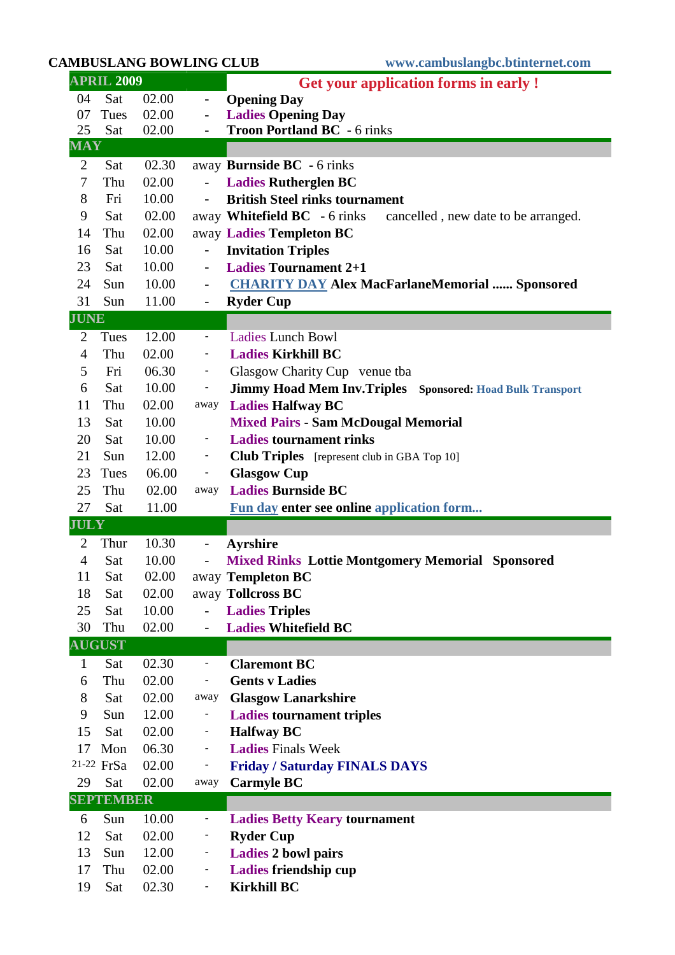## **CAMBUSLANG BOWLING CLUB www.cambuslangbc.btinternet.com**

| <b>APRIL 2009</b> |                  |                |                              | <b>Get your application forms in early!</b>                         |  |  |
|-------------------|------------------|----------------|------------------------------|---------------------------------------------------------------------|--|--|
| 04                | Sat              | 02.00          | $\overline{\phantom{0}}$     | <b>Opening Day</b>                                                  |  |  |
| 07                | Tues             | 02.00          | $\qquad \qquad -$            | <b>Ladies Opening Day</b>                                           |  |  |
| 25                | Sat              | 02.00          | $\qquad \qquad -$            | <b>Troon Portland BC</b> - 6 rinks                                  |  |  |
| <b>MAY</b>        |                  |                |                              |                                                                     |  |  |
| 2                 | Sat              | 02.30          |                              | away <b>Burnside BC</b> - 6 rinks                                   |  |  |
| 7                 | Thu              | 02.00          |                              | <b>Ladies Rutherglen BC</b>                                         |  |  |
| 8                 | Fri              | 10.00          | $\overline{\phantom{a}}$     | <b>British Steel rinks tournament</b>                               |  |  |
| 9                 | Sat              | 02.00          |                              | away Whitefield BC - 6 rinks<br>cancelled, new date to be arranged. |  |  |
| 14                | Thu              | 02.00          |                              | away Ladies Templeton BC                                            |  |  |
| 16                | Sat              | 10.00          |                              | <b>Invitation Triples</b>                                           |  |  |
| 23                | Sat              | 10.00          | $\overline{\phantom{a}}$     | <b>Ladies Tournament 2+1</b>                                        |  |  |
| 24                | Sun              | 10.00          | $\overline{\phantom{a}}$     | <b>CHARITY DAY Alex MacFarlaneMemorial  Sponsored</b>               |  |  |
| 31                | Sun              | 11.00          | $\qquad \qquad -$            | <b>Ryder Cup</b>                                                    |  |  |
| <b>JUNE</b>       |                  |                |                              |                                                                     |  |  |
| 2                 | Tues             | 12.00          | $\blacksquare$               | <b>Ladies Lunch Bowl</b>                                            |  |  |
| 4                 | Thu              | 02.00          | $\blacksquare$               | <b>Ladies Kirkhill BC</b>                                           |  |  |
| 5                 | Fri              | 06.30          | $\blacksquare$               | Glasgow Charity Cup venue tba                                       |  |  |
| 6                 | Sat              | 10.00          | $\blacksquare$               | Jimmy Hoad Mem Inv.Triples Sponsored: Hoad Bulk Transport           |  |  |
| 11                | Thu              | 02.00          | away                         | <b>Ladies Halfway BC</b>                                            |  |  |
| 13                | Sat              | 10.00          |                              | <b>Mixed Pairs - Sam McDougal Memorial</b>                          |  |  |
| 20                | Sat              | 10.00          | $\equiv$                     | <b>Ladies tournament rinks</b>                                      |  |  |
| 21                | Sun              | 12.00          | $\blacksquare$               | <b>Club Triples</b> [represent club in GBA Top 10]                  |  |  |
| 23                | Tues             | 06.00          | $\blacksquare$               | <b>Glasgow Cup</b>                                                  |  |  |
|                   |                  |                |                              |                                                                     |  |  |
| 25                | Thu              | 02.00          | away                         | <b>Ladies Burnside BC</b>                                           |  |  |
| 27                | Sat              | 11.00          |                              |                                                                     |  |  |
| <b>JULY</b>       |                  |                |                              | <b>Fun day enter see online application form</b>                    |  |  |
| 2                 | Thur             | 10.30          | $\qquad \qquad \blacksquare$ | <b>Ayrshire</b>                                                     |  |  |
| $\overline{4}$    | Sat              | 10.00          | $\overline{\phantom{0}}$     | <b>Mixed Rinks Lottie Montgomery Memorial Sponsored</b>             |  |  |
| 11                | Sat              | 02.00          |                              | away Templeton BC                                                   |  |  |
| 18                | Sat              | 02.00          |                              | away Tollcross BC                                                   |  |  |
| 25                | Sat              | 10.00          |                              | <b>Ladies Triples</b>                                               |  |  |
| 30                | Thu              | 02.00          |                              | <b>Ladies Whitefield BC</b>                                         |  |  |
|                   | <b>AUGUST</b>    |                |                              |                                                                     |  |  |
| $\mathbf{1}$      | Sat              | 02.30          | $\qquad \qquad \blacksquare$ | <b>Claremont BC</b>                                                 |  |  |
| 6                 | Thu              | 02.00          | $\blacksquare$               | <b>Gents v Ladies</b>                                               |  |  |
| 8                 | Sat              | 02.00          | away                         | <b>Glasgow Lanarkshire</b>                                          |  |  |
| 9                 | Sun              | 12.00          | ٠                            | <b>Ladies tournament triples</b>                                    |  |  |
| 15                | Sat              | 02.00          | $\qquad \qquad \blacksquare$ | <b>Halfway BC</b>                                                   |  |  |
| 17                | Mon              | 06.30          | $\overline{\phantom{a}}$     | <b>Ladies Finals Week</b>                                           |  |  |
|                   | 21-22 FrSa       | 02.00          | $\overline{\phantom{0}}$     | <b>Friday / Saturday FINALS DAYS</b>                                |  |  |
| 29                | Sat              | 02.00          | away                         | <b>Carmyle BC</b>                                                   |  |  |
|                   | <b>SEPTEMBER</b> |                |                              |                                                                     |  |  |
| 6                 | Sun              | 10.00          | ÷                            |                                                                     |  |  |
| 12                | Sat              | 02.00          |                              | <b>Ladies Betty Keary tournament</b>                                |  |  |
| 13                | Sun              |                | $\blacksquare$               | <b>Ryder Cup</b>                                                    |  |  |
| 17                | Thu              | 12.00<br>02.00 | $\blacksquare$               | <b>Ladies 2 bowl pairs</b>                                          |  |  |
| 19                | Sat              | 02.30          | $\overline{\phantom{a}}$     | Ladies friendship cup<br><b>Kirkhill BC</b>                         |  |  |